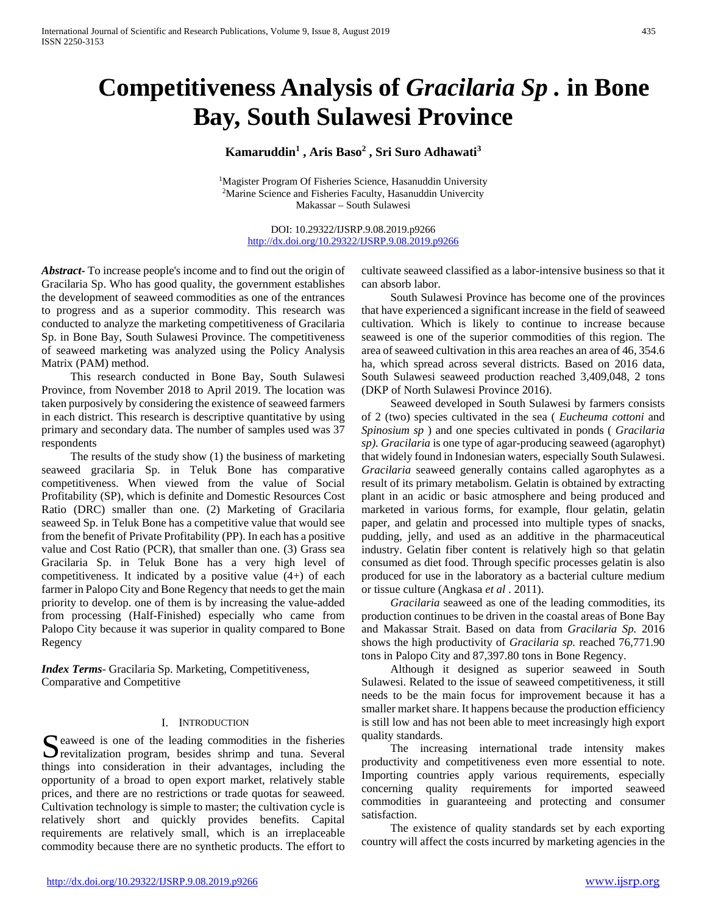# **Competitiveness Analysis of** *Gracilaria Sp .* **in Bone Bay, South Sulawesi Province**

## **Kamaruddin1 , Aris Baso2 , Sri Suro Adhawati3**

<sup>1</sup>Magister Program Of Fisheries Science, Hasanuddin University 2Marine Science and Fisheries Faculty, Hasanuddin Univercity Makassar – South Sulawesi

> DOI: 10.29322/IJSRP.9.08.2019.p9266 <http://dx.doi.org/10.29322/IJSRP.9.08.2019.p9266>

*Abstract***-** To increase people's income and to find out the origin of Gracilaria Sp. Who has good quality, the government establishes the development of seaweed commodities as one of the entrances to progress and as a superior commodity. This research was conducted to analyze the marketing competitiveness of Gracilaria Sp. in Bone Bay, South Sulawesi Province. The competitiveness of seaweed marketing was analyzed using the Policy Analysis Matrix (PAM) method.

 This research conducted in Bone Bay, South Sulawesi Province, from November 2018 to April 2019. The location was taken purposively by considering the existence of seaweed farmers in each district. This research is descriptive quantitative by using primary and secondary data. The number of samples used was 37 respondents

 The results of the study show (1) the business of marketing seaweed gracilaria Sp. in Teluk Bone has comparative competitiveness. When viewed from the value of Social Profitability (SP), which is definite and Domestic Resources Cost Ratio (DRC) smaller than one. (2) Marketing of Gracilaria seaweed Sp. in Teluk Bone has a competitive value that would see from the benefit of Private Profitability (PP). In each has a positive value and Cost Ratio (PCR), that smaller than one. (3) Grass sea Gracilaria Sp. in Teluk Bone has a very high level of competitiveness. It indicated by a positive value (4+) of each farmer in Palopo City and Bone Regency that needs to get the main priority to develop. one of them is by increasing the value-added from processing (Half-Finished) especially who came from Palopo City because it was superior in quality compared to Bone Regency

*Index Terms*- Gracilaria Sp. Marketing, Competitiveness, Comparative and Competitive

## I. INTRODUCTION

Seaweed is one of the leading commodities in the fisheries<br>revitalization program, besides shrimp and tuna. Several revitalization program, besides shrimp and tuna. Several things into consideration in their advantages, including the opportunity of a broad to open export market, relatively stable prices, and there are no restrictions or trade quotas for seaweed. Cultivation technology is simple to master; the cultivation cycle is relatively short and quickly provides benefits. Capital requirements are relatively small, which is an irreplaceable commodity because there are no synthetic products. The effort to

cultivate seaweed classified as a labor-intensive business so that it can absorb labor.

 South Sulawesi Province has become one of the provinces that have experienced a significant increase in the field of seaweed cultivation. Which is likely to continue to increase because seaweed is one of the superior commodities of this region. The area of seaweed cultivation in this area reaches an area of 46, 354.6 ha, which spread across several districts. Based on 2016 data, South Sulawesi seaweed production reached 3,409,048, 2 tons (DKP of North Sulawesi Province 2016).

 Seaweed developed in South Sulawesi by farmers consists of 2 (two) species cultivated in the sea ( *Eucheuma cottoni* and *Spinosium sp* ) and one species cultivated in ponds ( *Gracilaria sp). Gracilaria* is one type of agar-producing seaweed (agarophyt) that widely found in Indonesian waters, especially South Sulawesi. *Gracilaria* seaweed generally contains called agarophytes as a result of its primary metabolism. Gelatin is obtained by extracting plant in an acidic or basic atmosphere and being produced and marketed in various forms, for example, flour gelatin, gelatin paper, and gelatin and processed into multiple types of snacks, pudding, jelly, and used as an additive in the pharmaceutical industry. Gelatin fiber content is relatively high so that gelatin consumed as diet food. Through specific processes gelatin is also produced for use in the laboratory as a bacterial culture medium or tissue culture (Angkasa *et al* . 2011).

 *Gracilaria* seaweed as one of the leading commodities, its production continues to be driven in the coastal areas of Bone Bay and Makassar Strait. Based on data from *Gracilaria Sp.* 2016 shows the high productivity of *Gracilaria sp.* reached 76,771.90 tons in Palopo City and 87,397.80 tons in Bone Regency.

 Although it designed as superior seaweed in South Sulawesi. Related to the issue of seaweed competitiveness, it still needs to be the main focus for improvement because it has a smaller market share. It happens because the production efficiency is still low and has not been able to meet increasingly high export quality standards.

 The increasing international trade intensity makes productivity and competitiveness even more essential to note. Importing countries apply various requirements, especially concerning quality requirements for imported seaweed commodities in guaranteeing and protecting and consumer satisfaction.

 The existence of quality standards set by each exporting country will affect the costs incurred by marketing agencies in the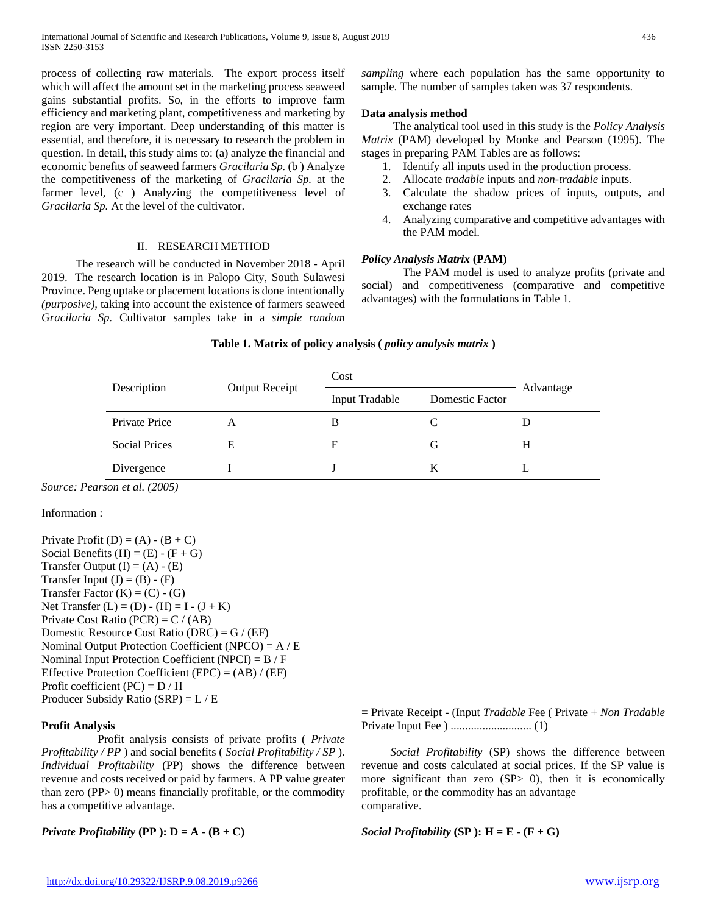process of collecting raw materials. The export process itself which will affect the amount set in the marketing process seaweed gains substantial profits. So, in the efforts to improve farm efficiency and marketing plant, competitiveness and marketing by region are very important. Deep understanding of this matter is essential, and therefore, it is necessary to research the problem in question. In detail, this study aims to: (a) analyze the financial and economic benefits of seaweed farmers *Gracilaria Sp.* (b ) Analyze the competitiveness of the marketing of *Gracilaria Sp.* at the farmer level, (c ) Analyzing the competitiveness level of *Gracilaria Sp.* At the level of the cultivator.

## II. RESEARCH METHOD

 The research will be conducted in November 2018 - April 2019. The research location is in Palopo City, South Sulawesi Province. Peng uptake or placement locations is done intentionally *(purposive),* taking into account the existence of farmers seaweed *Gracilaria Sp.* Cultivator samples take in a *simple random*  *sampling* where each population has the same opportunity to sample. The number of samples taken was 37 respondents.

## **Data analysis method**

 The analytical tool used in this study is the *Policy Analysis Matrix* (PAM) developed by Monke and Pearson (1995). The stages in preparing PAM Tables are as follows:

- 1. Identify all inputs used in the production process.
- 2. Allocate *tradable* inputs and *non-tradable* inputs*.*
- 3. Calculate the shadow prices of inputs, outputs, and exchange rates
- 4. Analyzing comparative and competitive advantages with the PAM model.

## *Policy Analysis Matrix* **(PAM)**

 The PAM model is used to analyze profits (private and social) and competitiveness (comparative and competitive advantages) with the formulations in Table 1.

## **Table 1. Matrix of policy analysis (** *policy analysis matrix* **)**

|                      |                       | Cost                  |                        |           |  |
|----------------------|-----------------------|-----------------------|------------------------|-----------|--|
| Description          | <b>Output Receipt</b> | <b>Input Tradable</b> | <b>Domestic Factor</b> | Advantage |  |
| <b>Private Price</b> | А                     | B                     |                        |           |  |
| <b>Social Prices</b> | E                     | F                     | G                      | H         |  |
| Divergence           |                       |                       | K                      |           |  |

*Source: Pearson et al. (2005)*

#### Information :

Private Profit (D) =  $(A) - (B + C)$ Social Benefits  $(H) = (E) - (F + G)$ Transfer Output  $(I) = (A) - (E)$ Transfer Input  $(J) = (B) - (F)$ Transfer Factor  $(K) = (C) - (G)$ Net Transfer  $(L) = (D) - (H) = I - (J + K)$ Private Cost Ratio  $(PCR) = C / (AB)$ Domestic Resource Cost Ratio (DRC) = G / (EF) Nominal Output Protection Coefficient (NPCO) = A / E Nominal Input Protection Coefficient (NPCI) = B / F Effective Protection Coefficient (EPC) =  $(AB) / (EF)$ Profit coefficient  $(PC) = D / H$ Producer Subsidy Ratio (SRP) = L / E

## **Profit Analysis**

 Profit analysis consists of private profits ( *Private Profitability / PP* ) and social benefits ( *Social Profitability / SP* ). *Individual Profitability* (PP) shows the difference between revenue and costs received or paid by farmers. A PP value greater than zero (PP> 0) means financially profitable, or the commodity has a competitive advantage.

= Private Receipt - (Input *Tradable* Fee ( Private + *Non Tradable*  Private Input Fee ) ............................ (1)

 *Social Profitability* (SP) shows the difference between revenue and costs calculated at social prices. If the SP value is more significant than zero (SP> 0), then it is economically profitable, or the commodity has an advantage comparative.

*Private Profitability* (PP):  $D = A - (B + C)$ 

*Social Profitability (SP):*  $H = E - (F + G)$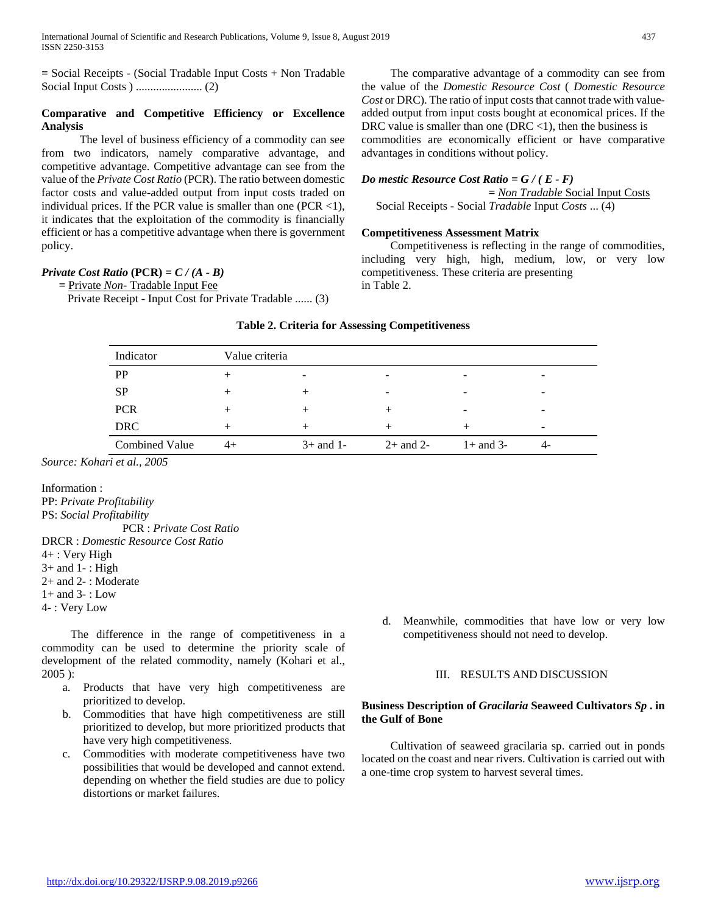**=** Social Receipts - (Social Tradable Input Costs + Non Tradable Social Input Costs ) ....................... (2)

## **Comparative and Competitive Efficiency or Excellence Analysis**

 The level of business efficiency of a commodity can see from two indicators, namely comparative advantage, and competitive advantage. Competitive advantage can see from the value of the *Private Cost Ratio* (PCR). The ratio between domestic factor costs and value-added output from input costs traded on individual prices. If the PCR value is smaller than one (PCR  $\langle$ 1), it indicates that the exploitation of the commodity is financially efficient or has a competitive advantage when there is government policy.

## *Private Cost Ratio*  $(PCR) = C / (A - B)$

 *=* Private *Non-* Tradable Input Fee

Private Receipt - Input Cost for Private Tradable ...... (3)

 The comparative advantage of a commodity can see from the value of the *Domestic Resource Cost* ( *Domestic Resource Cost* or DRC). The ratio of input costs that cannot trade with valueadded output from input costs bought at economical prices. If the DRC value is smaller than one (DRC <1), then the business is commodities are economically efficient or have comparative advantages in conditions without policy.

## *Do mestic Resource Cost Ratio = G / ( E - F) = Non Tradable* Social Input Costs Social Receipts - Social *Tradable* Input *Costs* ... (4)

## **Competitiveness Assessment Matrix**

 Competitiveness is reflecting in the range of commodities, including very high, high, medium, low, or very low competitiveness. These criteria are presenting in Table 2.

## **Table 2. Criteria for Assessing Competitiveness**

| Indicator             | Value criteria |             |               |             |                          |
|-----------------------|----------------|-------------|---------------|-------------|--------------------------|
| <b>PP</b>             | $^+$           |             | ۰             |             | $\overline{\phantom{0}}$ |
| <b>SP</b>             | $\pm$          | $^+$        | -             | -           | $\overline{\phantom{0}}$ |
| <b>PCR</b>            | $^+$           | $^{+}$      |               | -           | $\overline{\phantom{0}}$ |
| <b>DRC</b>            | $+$            | $^{+}$      | $^+$          |             | $\overline{\phantom{a}}$ |
| <b>Combined Value</b> | 4+             | $3+$ and 1- | $2+$ and $2-$ | $1+$ and 3- | 4-                       |

*Source: Kohari et al., 2005* 

Information : PP: *Private Profitability* PS: *Social Profitability* PCR : *Private Cost Ratio* DRCR : *Domestic Resource Cost Ratio* 4+ : Very High  $3+$  and  $1-$ : High 2+ and 2- : Moderate  $1+$  and  $3-$ : Low 4- : Very Low

 The difference in the range of competitiveness in a commodity can be used to determine the priority scale of development of the related commodity, namely (Kohari et al., 2005 ):

- a. Products that have very high competitiveness are prioritized to develop.
- b. Commodities that have high competitiveness are still prioritized to develop, but more prioritized products that have very high competitiveness.
- c. Commodities with moderate competitiveness have two possibilities that would be developed and cannot extend. depending on whether the field studies are due to policy distortions or market failures.

d. Meanwhile, commodities that have low or very low competitiveness should not need to develop.

## III. RESULTS AND DISCUSSION

## **Business Description of** *Gracilaria* **Seaweed Cultivators** *Sp* **. in the Gulf of Bone**

 Cultivation of seaweed gracilaria sp. carried out in ponds located on the coast and near rivers. Cultivation is carried out with a one-time crop system to harvest several times.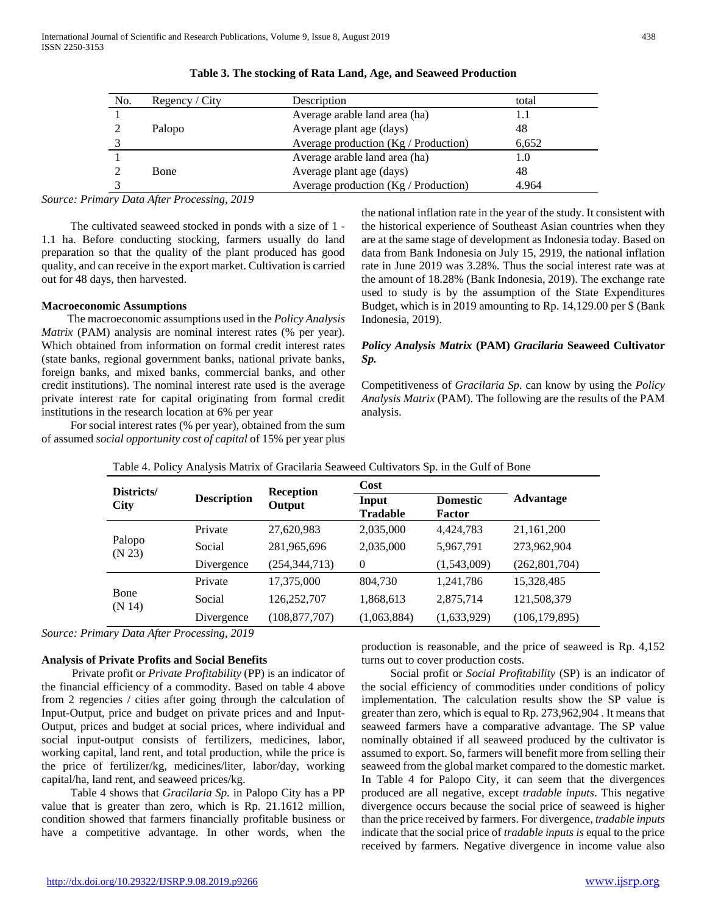| No. | Regency / City | Description                                   | total |
|-----|----------------|-----------------------------------------------|-------|
|     |                | Average arable land area (ha)                 |       |
|     | Palopo         | Average plant age (days)                      | 48    |
|     |                | Average production $(Kg / \text{Production})$ | 6,652 |
|     |                | Average arable land area (ha)                 | 1.0   |
|     | <b>Bone</b>    | Average plant age (days)                      | 48    |
|     |                | Average production $(Kg / \text{Production})$ | 4.964 |

#### **Table 3. The stocking of Rata Land, Age, and Seaweed Production**

*Source: Primary Data After Processing, 2019*

 The cultivated seaweed stocked in ponds with a size of 1 - 1.1 ha. Before conducting stocking, farmers usually do land preparation so that the quality of the plant produced has good quality, and can receive in the export market. Cultivation is carried out for 48 days, then harvested.

#### **Macroeconomic Assumptions**

 The macroeconomic assumptions used in the *Policy Analysis Matrix* (PAM) analysis are nominal interest rates (% per year). Which obtained from information on formal credit interest rates (state banks, regional government banks, national private banks, foreign banks, and mixed banks, commercial banks, and other credit institutions). The nominal interest rate used is the average private interest rate for capital originating from formal credit institutions in the research location at 6% per year

 For social interest rates (% per year), obtained from the sum of assumed *social opportunity cost of capital* of 15% per year plus

the national inflation rate in the year of the study. It consistent with the historical experience of Southeast Asian countries when they are at the same stage of development as Indonesia today. Based on data from Bank Indonesia on July 15, 2919, the national inflation rate in June 2019 was 3.28%. Thus the social interest rate was at the amount of 18.28% (Bank Indonesia, 2019). The exchange rate used to study is by the assumption of the State Expenditures Budget, which is in 2019 amounting to Rp. 14,129.00 per \$ (Bank Indonesia, 2019).

## *Policy Analysis Matrix* **(PAM)** *Gracilaria* **Seaweed Cultivator**  *Sp.*

Competitiveness of *Gracilaria Sp.* can know by using the *Policy Analysis Matrix* (PAM). The following are the results of the PAM analysis.

| Districts/       |                    |                            | Cost                     |                           |                 |
|------------------|--------------------|----------------------------|--------------------------|---------------------------|-----------------|
| <b>City</b>      | <b>Description</b> | <b>Reception</b><br>Output | Input<br><b>Tradable</b> | <b>Domestic</b><br>Factor | Advantage       |
| Palopo<br>(N 23) | Private            | 27,620,983                 | 2,035,000                | 4,424,783                 | 21,161,200      |
|                  | Social             | 281,965,696                | 2,035,000                | 5,967,791                 | 273,962,904     |
|                  | Divergence         | (254, 344, 713)            | $\theta$                 | (1,543,009)               | (262, 801, 704) |
| Bone<br>(N 14)   | Private            | 17,375,000                 | 804,730                  | 1,241,786                 | 15,328,485      |
|                  | Social             | 126,252,707                | 1,868,613                | 2,875,714                 | 121,508,379     |
|                  | Divergence         | (108, 877, 707)            | (1,063,884)              | (1,633,929)               | (106, 179, 895) |

Table 4. Policy Analysis Matrix of Gracilaria Seaweed Cultivators Sp. in the Gulf of Bone

*Source: Primary Data After Processing, 2019*

## **Analysis of Private Profits and Social Benefits**

 Private profit or *Private Profitability* (PP) is an indicator of the financial efficiency of a commodity. Based on table 4 above from 2 regencies / cities after going through the calculation of Input-Output, price and budget on private prices and and Input-Output, prices and budget at social prices, where individual and social input-output consists of fertilizers, medicines, labor, working capital, land rent, and total production, while the price is the price of fertilizer/kg, medicines/liter, labor/day, working capital/ha, land rent, and seaweed prices/kg.

 Table 4 shows that *Gracilaria Sp.* in Palopo City has a PP value that is greater than zero, which is Rp. 21.1612 million, condition showed that farmers financially profitable business or have a competitive advantage. In other words, when the

production is reasonable, and the price of seaweed is Rp. 4,152 turns out to cover production costs.

 Social profit or *Social Profitability* (SP) is an indicator of the social efficiency of commodities under conditions of policy implementation. The calculation results show the SP value is greater than zero, which is equal to Rp. 273,962,904 . It means that seaweed farmers have a comparative advantage. The SP value nominally obtained if all seaweed produced by the cultivator is assumed to export. So, farmers will benefit more from selling their seaweed from the global market compared to the domestic market. In Table 4 for Palopo City, it can seem that the divergences produced are all negative, except *tradable inputs*. This negative divergence occurs because the social price of seaweed is higher than the price received by farmers. For divergence, *tradable inputs*  indicate that the social price of *tradable inputs is* equal to the price received by farmers. Negative divergence in income value also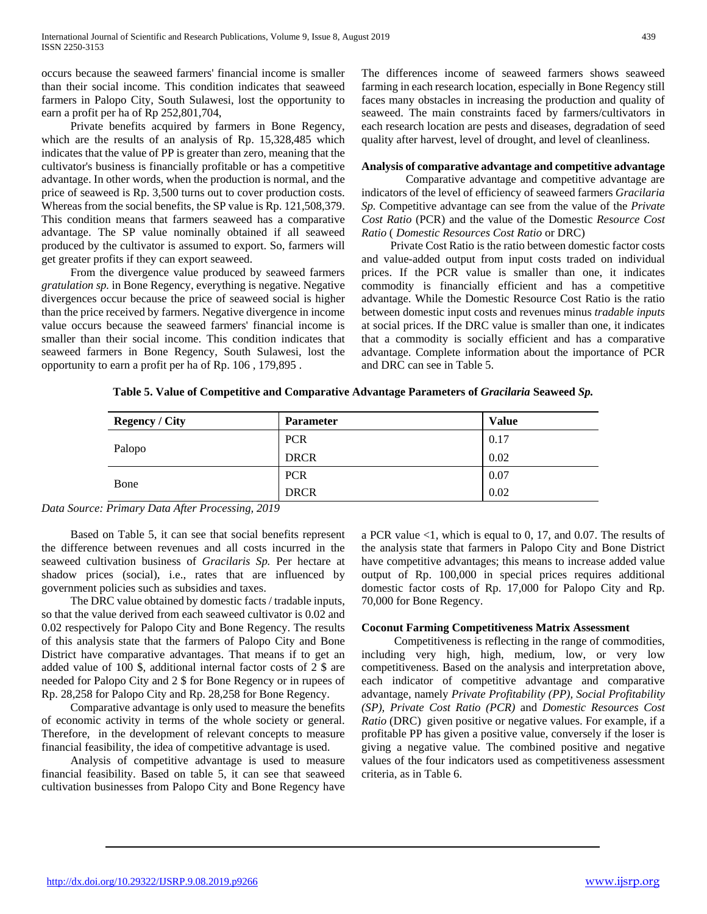occurs because the seaweed farmers' financial income is smaller than their social income. This condition indicates that seaweed farmers in Palopo City, South Sulawesi, lost the opportunity to earn a profit per ha of Rp 252,801,704,

 Private benefits acquired by farmers in Bone Regency, which are the results of an analysis of Rp. 15,328,485 which indicates that the value of PP is greater than zero, meaning that the cultivator's business is financially profitable or has a competitive advantage. In other words, when the production is normal, and the price of seaweed is Rp. 3,500 turns out to cover production costs. Whereas from the social benefits, the SP value is Rp. 121,508,379. This condition means that farmers seaweed has a comparative advantage. The SP value nominally obtained if all seaweed produced by the cultivator is assumed to export. So, farmers will get greater profits if they can export seaweed.

 From the divergence value produced by seaweed farmers *gratulation sp.* in Bone Regency, everything is negative. Negative divergences occur because the price of seaweed social is higher than the price received by farmers. Negative divergence in income value occurs because the seaweed farmers' financial income is smaller than their social income. This condition indicates that seaweed farmers in Bone Regency, South Sulawesi, lost the opportunity to earn a profit per ha of Rp. 106 , 179,895 .

The differences income of seaweed farmers shows seaweed farming in each research location, especially in Bone Regency still faces many obstacles in increasing the production and quality of seaweed. The main constraints faced by farmers/cultivators in each research location are pests and diseases, degradation of seed quality after harvest, level of drought, and level of cleanliness.

#### **Analysis of comparative advantage and competitive advantage**

 Comparative advantage and competitive advantage are indicators of the level of efficiency of seaweed farmers *Gracilaria Sp.* Competitive advantage can see from the value of the *Private Cost Ratio* (PCR) and the value of the Domestic *Resource Cost Ratio* ( *Domestic Resources Cost Ratio* or DRC)

 Private Cost Ratio is the ratio between domestic factor costs and value-added output from input costs traded on individual prices. If the PCR value is smaller than one, it indicates commodity is financially efficient and has a competitive advantage. While the Domestic Resource Cost Ratio is the ratio between domestic input costs and revenues minus *tradable inputs*  at social prices. If the DRC value is smaller than one, it indicates that a commodity is socially efficient and has a comparative advantage. Complete information about the importance of PCR and DRC can see in Table 5.

|  | Table 5. Value of Competitive and Comparative Advantage Parameters of Gracilaria Seaweed Sp. |  |  |  |
|--|----------------------------------------------------------------------------------------------|--|--|--|
|  |                                                                                              |  |  |  |

| <b>Regency / City</b> | <b>Parameter</b> | <b>Value</b> |
|-----------------------|------------------|--------------|
|                       | <b>PCR</b>       | 0.17         |
| Palopo                | <b>DRCR</b>      | 0.02         |
|                       | <b>PCR</b>       | 0.07         |
| Bone                  | <b>DRCR</b>      | 0.02         |

*Data Source: Primary Data After Processing, 2019*

 Based on Table 5, it can see that social benefits represent the difference between revenues and all costs incurred in the seaweed cultivation business of *Gracilaris Sp.* Per hectare at shadow prices (social), i.e., rates that are influenced by government policies such as subsidies and taxes.

 The DRC value obtained by domestic facts / tradable inputs, so that the value derived from each seaweed cultivator is 0.02 and 0.02 respectively for Palopo City and Bone Regency. The results of this analysis state that the farmers of Palopo City and Bone District have comparative advantages. That means if to get an added value of 100 \$, additional internal factor costs of 2 \$ are needed for Palopo City and 2 \$ for Bone Regency or in rupees of Rp. 28,258 for Palopo City and Rp. 28,258 for Bone Regency.

 Comparative advantage is only used to measure the benefits of economic activity in terms of the whole society or general. Therefore, in the development of relevant concepts to measure financial feasibility, the idea of competitive advantage is used.

 Analysis of competitive advantage is used to measure financial feasibility. Based on table 5, it can see that seaweed cultivation businesses from Palopo City and Bone Regency have

a PCR value <1, which is equal to 0, 17, and 0.07. The results of the analysis state that farmers in Palopo City and Bone District have competitive advantages; this means to increase added value output of Rp. 100,000 in special prices requires additional domestic factor costs of Rp. 17,000 for Palopo City and Rp. 70,000 for Bone Regency.

## **Coconut Farming Competitiveness Matrix Assessment**

 Competitiveness is reflecting in the range of commodities, including very high, high, medium, low, or very low competitiveness. Based on the analysis and interpretation above, each indicator of competitive advantage and comparative advantage, namely *Private Profitability (PP), Social Profitability (SP), Private Cost Ratio (PCR)* and *Domestic Resources Cost Ratio* (DRC) given positive or negative values. For example, if a profitable PP has given a positive value, conversely if the loser is giving a negative value. The combined positive and negative values of the four indicators used as competitiveness assessment criteria, as in Table 6.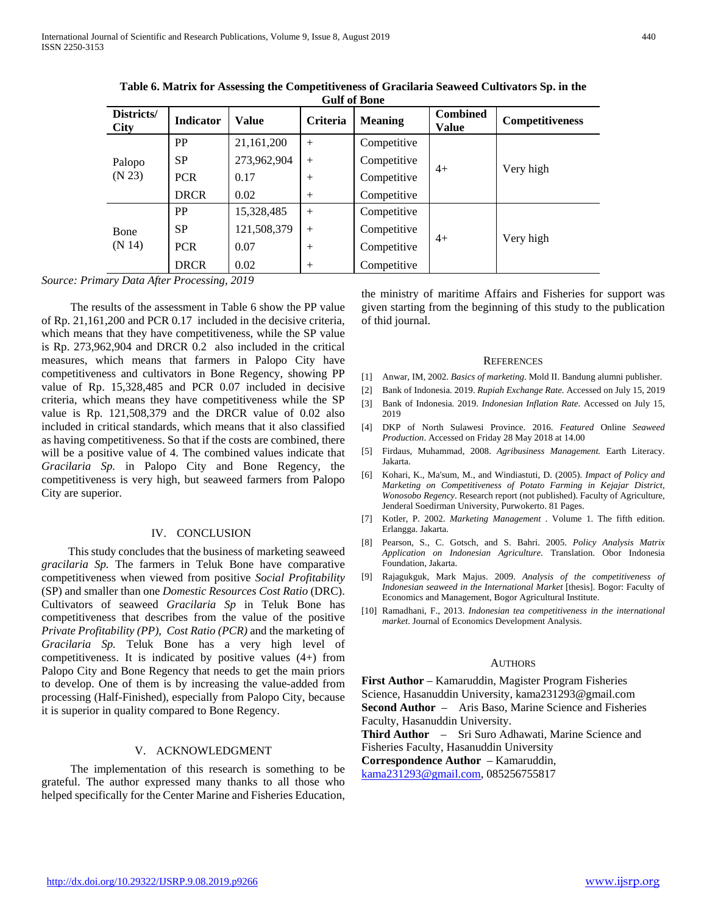| Districts/<br><b>City</b> | <b>Indicator</b> | <b>Value</b> | Criteria | <b>Meaning</b> | <b>Combined</b><br>Value | <b>Competitiveness</b> |
|---------------------------|------------------|--------------|----------|----------------|--------------------------|------------------------|
| Palopo<br>(N 23)          | <b>PP</b>        | 21,161,200   | $^{+}$   | Competitive    |                          | Very high              |
|                           | <b>SP</b>        | 273,962,904  | $^{+}$   | Competitive    | $4+$                     |                        |
|                           | <b>PCR</b>       | 0.17         | $^{+}$   | Competitive    |                          |                        |
|                           | <b>DRCR</b>      | 0.02         | $^{+}$   | Competitive    |                          |                        |
| Bone<br>(N 14)            | <b>PP</b>        | 15,328,485   | $^{+}$   | Competitive    |                          | Very high              |
|                           | SP               | 121,508,379  | $+$      | Competitive    |                          |                        |
|                           | <b>PCR</b>       | 0.07         | $^{+}$   | Competitive    | $4+$                     |                        |
|                           | <b>DRCR</b>      | 0.02         | $^{+}$   | Competitive    |                          |                        |

**Table 6. Matrix for Assessing the Competitiveness of Gracilaria Seaweed Cultivators Sp. in the Gulf of Bone**

*Source: Primary Data After Processing, 2019*

 The results of the assessment in Table 6 show the PP value of Rp. 21,161,200 and PCR 0.17 included in the decisive criteria, which means that they have competitiveness, while the SP value is Rp. 273,962,904 and DRCR 0.2 also included in the critical measures, which means that farmers in Palopo City have competitiveness and cultivators in Bone Regency, showing PP value of Rp. 15,328,485 and PCR 0.07 included in decisive criteria, which means they have competitiveness while the SP value is Rp. 121,508,379 and the DRCR value of 0.02 also included in critical standards, which means that it also classified as having competitiveness. So that if the costs are combined, there will be a positive value of 4. The combined values indicate that *Gracilaria Sp.* in Palopo City and Bone Regency, the competitiveness is very high, but seaweed farmers from Palopo City are superior.

#### IV. CONCLUSION

 This study concludes that the business of marketing seaweed *gracilaria Sp.* The farmers in Teluk Bone have comparative competitiveness when viewed from positive *Social Profitability*  (SP) and smaller than one *Domestic Resources Cost Ratio* (DRC). Cultivators of seaweed *Gracilaria Sp* in Teluk Bone has competitiveness that describes from the value of the positive *Private Profitability (PP)*, *Cost Ratio (PCR)* and the marketing of *Gracilaria Sp.* Teluk Bone has a very high level of competitiveness. It is indicated by positive values (4+) from Palopo City and Bone Regency that needs to get the main priors to develop. One of them is by increasing the value-added from processing (Half-Finished), especially from Palopo City, because it is superior in quality compared to Bone Regency.

## V. ACKNOWLEDGMENT

 The implementation of this research is something to be grateful. The author expressed many thanks to all those who helped specifically for the Center Marine and Fisheries Education,

the ministry of maritime Affairs and Fisheries for support was given starting from the beginning of this study to the publication of thid journal.

#### **REFERENCES**

- [1] Anwar, IM, 2002. *Basics of marketing.* Mold II. Bandung alumni publisher.
- [2] Bank of Indonesia. 2019. *Rupiah Exchange Rate.* Accessed on July 15, 2019
- [3] Bank of Indonesia. 2019. *Indonesian Inflation Rate*. Accessed on July 15, 2019
- [4] DKP of North Sulawesi Province. 2016. *Featured* Online *Seaweed Production*. Accessed on Friday 28 May 2018 at 14.00
- [5] Firdaus, Muhammad, 2008. *Agribusiness Management.* Earth Literacy. Jakarta.
- [6] Kohari, K., Ma'sum, M., and Windiastuti, D. (2005). *Impact of Policy and Marketing on Competitiveness of Potato Farming in Kejajar District, Wonosobo Regency*. Research report (not published). Faculty of Agriculture, Jenderal Soedirman University, Purwokerto. 81 Pages.
- [7] Kotler, P. 2002. *Marketing Management* . Volume 1. The fifth edition. Erlangga. Jakarta.
- [8] Pearson, S., C. Gotsch, and S. Bahri. 2005. *Policy Analysis Matrix Application on Indonesian Agriculture*. Translation. Obor Indonesia Foundation, Jakarta.
- [9] Rajagukguk, Mark Majus. 2009. *Analysis of the competitiveness of Indonesian seaweed in the International Market [thesis]. Bogor: Faculty of* Economics and Management, Bogor Agricultural Institute.
- [10] Ramadhani, F., 2013. *Indonesian tea competitiveness in the international market*. Journal of Economics Development Analysis.

#### AUTHORS

**First Author** – Kamaruddin, Magister Program Fisheries Science, Hasanuddin University, kama231293@gmail.com **Second Author** – Aris Baso, Marine Science and Fisheries Faculty, Hasanuddin University. **Third Author** – Sri Suro Adhawati, Marine Science and Fisheries Faculty, Hasanuddin University **Correspondence Author** – Kamaruddin, [kama231293@gmail.com,](mailto:kama231293@gmail.com) 085256755817